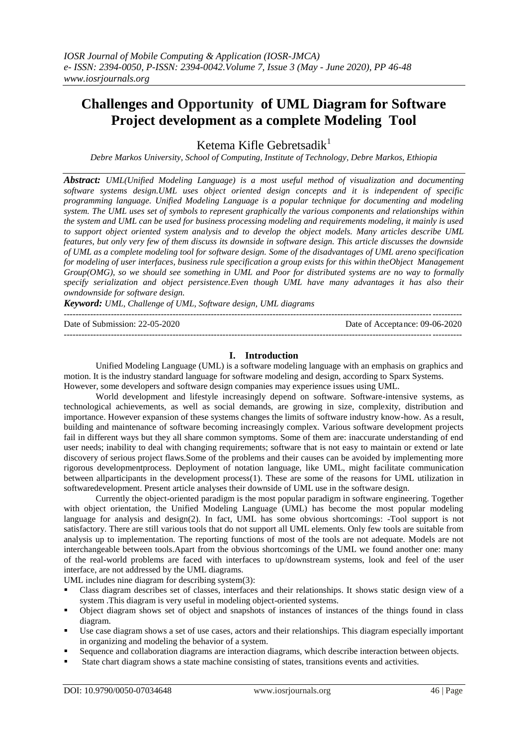# **Challenges and Opportunity of UML Diagram for Software Project development as a complete Modeling Tool**

Ketema Kifle Gebretsadik<sup>1</sup>

*Debre Markos University, School of Computing, Institute of Technology, Debre Markos, Ethiopia*

*Abstract: UML(Unified Modeling Language) is a most useful method of visualization and documenting software systems design.UML uses object oriented design concepts and it is independent of specific programming language. Unified Modeling Language is a popular technique for documenting and modeling system. The UML uses set of symbols to represent graphically the various components and relationships within the system and UML can be used for business processing modeling and requirements modeling, it mainly is used to support object oriented system analysis and to develop the object models. Many articles describe UML features, but only very few of them discuss its downside in software design. This article discusses the downside of UML as a complete modeling tool for software design. Some of the disadvantages of UML areno specification*  for modeling of user interfaces, business rule specification a group exists for this within the Object Management *Group(OMG), so we should see something in UML and Poor for distributed systems are no way to formally specify serialization and object persistence.Even though UML have many advantages it has also their owndownside for software design.*

*Keyword: UML, Challenge of UML, Software design, UML diagrams*

--------------------------------------------------------------------------------------------------------------------------------------- Date of Submission: 22-05-2020 Date of Acceptance: 09-06-2020 ---------------------------------------------------------------------------------------------------------------------------------------

## **I. Introduction**

Unified Modeling Language (UML) is a software modeling language with an emphasis on graphics and motion. It is the industry standard language for software modeling and design, according to Sparx Systems. However, some developers and software design companies may experience issues using UML.

World development and lifestyle increasingly depend on software. Software-intensive systems, as technological achievements, as well as social demands, are growing in size, complexity, distribution and importance. However expansion of these systems changes the limits of software industry know-how. As a result, building and maintenance of software becoming increasingly complex. Various software development projects fail in different ways but they all share common symptoms. Some of them are: inaccurate understanding of end user needs; inability to deal with changing requirements; software that is not easy to maintain or extend or late discovery of serious project flaws.Some of the problems and their causes can be avoided by implementing more rigorous developmentprocess. Deployment of notation language, like UML, might facilitate communication between allparticipants in the development process(1). These are some of the reasons for UML utilization in softwaredevelopment. Present article analyses their downside of UML use in the software design.

Currently the object-oriented paradigm is the most popular paradigm in software engineering. Together with object orientation, the Unified Modeling Language (UML) has become the most popular modeling language for analysis and design(2). In fact, UML has some obvious shortcomings: -Tool support is not satisfactory. There are still various tools that do not support all UML elements. Only few tools are suitable from analysis up to implementation. The reporting functions of most of the tools are not adequate. Models are not interchangeable between tools.Apart from the obvious shortcomings of the UML we found another one: many of the real-world problems are faced with interfaces to up/downstream systems, look and feel of the user interface, are not addressed by the UML diagrams.

UML includes nine diagram for describing system(3):

- Class diagram describes set of classes, interfaces and their relationships. It shows static design view of a system .This diagram is very useful in modeling object-oriented systems.
- Object diagram shows set of object and snapshots of instances of instances of the things found in class diagram.
- Use case diagram shows a set of use cases, actors and their relationships. This diagram especially important in organizing and modeling the behavior of a system.
- Sequence and collaboration diagrams are interaction diagrams, which describe interaction between objects.
- State chart diagram shows a state machine consisting of states, transitions events and activities.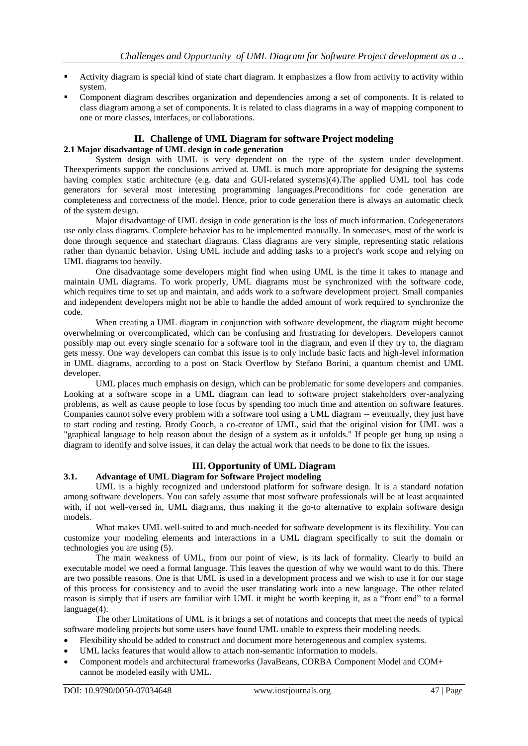- Activity diagram is special kind of state chart diagram. It emphasizes a flow from activity to activity within system.
- Component diagram describes organization and dependencies among a set of components. It is related to class diagram among a set of components. It is related to class diagrams in a way of mapping component to one or more classes, interfaces, or collaborations.

## **II. Challenge of UML Diagram for software Project modeling**

## **2.1 Major disadvantage of UML design in code generation**

System design with UML is very dependent on the type of the system under development. Theexperiments support the conclusions arrived at. UML is much more appropriate for designing the systems having complex static architecture (e.g. data and GUI-related systems)(4). The applied UML tool has code generators for several most interesting programming languages.Preconditions for code generation are completeness and correctness of the model. Hence, prior to code generation there is always an automatic check of the system design.

Major disadvantage of UML design in code generation is the loss of much information. Codegenerators use only class diagrams. Complete behavior has to be implemented manually. In somecases, most of the work is done through sequence and statechart diagrams. Class diagrams are very simple, representing static relations rather than dynamic behavior. Using UML include and adding tasks to a project's work scope and relying on UML diagrams too heavily.

One disadvantage some developers might find when using UML is the time it takes to manage and maintain UML diagrams. To work properly, UML diagrams must be synchronized with the software code, which requires time to set up and maintain, and adds work to a software development project. Small companies and independent developers might not be able to handle the added amount of work required to synchronize the code.

When creating a UML diagram in conjunction with software development, the diagram might become overwhelming or overcomplicated, which can be confusing and frustrating for developers. Developers cannot possibly map out every single scenario for a software tool in the diagram, and even if they try to, the diagram gets messy. One way developers can combat this issue is to only include basic facts and high-level information in UML diagrams, according to a post on Stack Overflow by Stefano Borini, a quantum chemist and UML developer.

UML places much emphasis on design, which can be problematic for some developers and companies. Looking at a software scope in a UML diagram can lead to software project stakeholders over-analyzing problems, as well as cause people to lose focus by spending too much time and attention on software features. Companies cannot solve every problem with a software tool using a UML diagram -- eventually, they just have to start coding and testing. Brody Gooch, a co-creator of UML, said that the original vision for UML was a "graphical language to help reason about the design of a system as it unfolds." If people get hung up using a diagram to identify and solve issues, it can delay the actual work that needs to be done to fix the issues.

## **III. Opportunity of UML Diagram**

## **3.1. Advantage of UML Diagram for Software Project modeling**

UML is a highly recognized and understood platform for software design. It is a standard notation among software developers. You can safely assume that most software professionals will be at least acquainted with, if not well-versed in, UML diagrams, thus making it the go-to alternative to explain software design models.

What makes UML well-suited to and much-needed for software development is its flexibility. You can customize your modeling elements and interactions in a UML diagram specifically to suit the domain or technologies you are using (5).

The main weakness of UML, from our point of view, is its lack of formality. Clearly to build an executable model we need a formal language. This leaves the question of why we would want to do this. There are two possible reasons. One is that UML is used in a development process and we wish to use it for our stage of this process for consistency and to avoid the user translating work into a new language. The other related reason is simply that if users are familiar with UML it might be worth keeping it, as a "front end" to a formal language(4).

The other Limitations of UML is it brings a set of notations and concepts that meet the needs of typical software modeling projects but some users have found UML unable to express their modeling needs.

- Flexibility should be added to construct and document more heterogeneous and complex systems.
- UML lacks features that would allow to attach non-semantic information to models.
- Component models and architectural frameworks (JavaBeans, CORBA Component Model and COM+ cannot be modeled easily with UML.